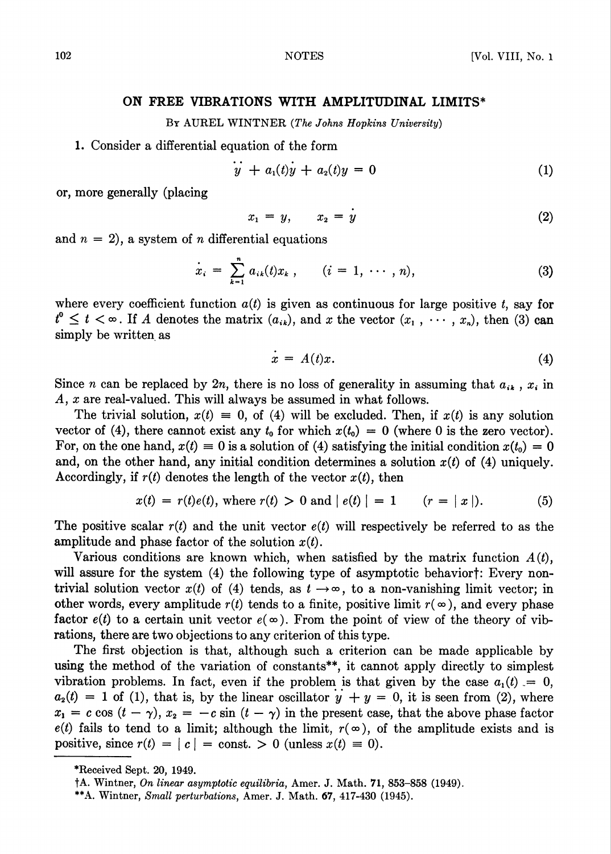## ON FREE VIBRATIONS WITH AMPLITUDINAL LIMITS\*

By AUREL WINTNER (The Johns Hopkins University)

## 1. Consider a differential equation of the form

$$
y + a_1(t)y + a_2(t)y = 0 \tag{1}
$$

or, more generally (placing

$$
x_1 = y, \qquad x_2 = y \tag{2}
$$

and  $n = 2$ , a system of *n* differential equations

$$
\dot{x}_i = \sum_{k=1}^n a_{ik}(t)x_k, \qquad (i = 1, \cdots, n), \qquad (3)
$$

where every coefficient function  $a(t)$  is given as continuous for large positive t, say for  $t^0 \leq t < \infty$ . If A denotes the matrix  $(a_{ik})$ , and x the vector  $(x_1, \dots, x_n)$ , then (3) can simply be written as

$$
x = A(t)x.
$$
 (4)

Since n can be replaced by  $2n$ , there is no loss of generality in assuming that  $a_{ik}$ ,  $x_{i}$  in A, x are real-valued. This will always be assumed in what follows.

The trivial solution,  $x(t) = 0$ , of (4) will be excluded. Then, if  $x(t)$  is any solution vector of (4), there cannot exist any  $t_0$  for which  $x(t_0) = 0$  (where 0 is the zero vector). For, on the one hand,  $x(t) \equiv 0$  is a solution of (4) satisfying the initial condition  $x(t_0) = 0$ and, on the other hand, any initial condition determines a solution  $x(t)$  of (4) uniquely. Accordingly, if  $r(t)$  denotes the length of the vector  $x(t)$ , then

$$
x(t) = r(t)e(t), \text{ where } r(t) > 0 \text{ and } |e(t)| = 1 \qquad (r = |x|). \tag{5}
$$

The positive scalar  $r(t)$  and the unit vector  $e(t)$  will respectively be referred to as the amplitude and phase factor of the solution  $x(t)$ .

Various conditions are known which, when satisfied by the matrix function  $A(t)$ , will assure for the system (4) the following type of asymptotic behaviort: Every nontrivial solution vector  $x(t)$  of (4) tends, as  $t \to \infty$ , to a non-vanishing limit vector; in other words, every amplitude  $r(t)$  tends to a finite, positive limit  $r(\infty)$ , and every phase factor  $e(t)$  to a certain unit vector  $e(\infty)$ . From the point of view of the theory of vibrations, there are two objections to any criterion of this type.

The first objection is that, although such a criterion can be made applicable by using the method of the variation of constants\*\*, it cannot apply directly to simplest vibration problems. In fact, even if the problem is that given by the case  $a_1(t) = 0$ ,  $a_2(t) = 1$  of (1), that is, by the linear oscillator  $y + y = 0$ , it is seen from (2), where  $x_1 = c \cos (t - \gamma), x_2 = -c \sin (t - \gamma)$  in the present case, that the above phase factor  $e(t)$  fails to tend to a limit; although the limit,  $r(\infty)$ , of the amplitude exists and is positive, since  $r(t) = |c| = \text{const.} > 0$  (unless  $x(t) \equiv 0$ ).

<sup>\*</sup>Received Sept. 20, 1949.

fA. Wintrier, On linear asymptotic equilibria, Amer. J. Math. 71, 853-858 (1949).

<sup>\*\*</sup>A. Wintner, Small perturbations, Amer. J. Math. 67, 417-430 (1945).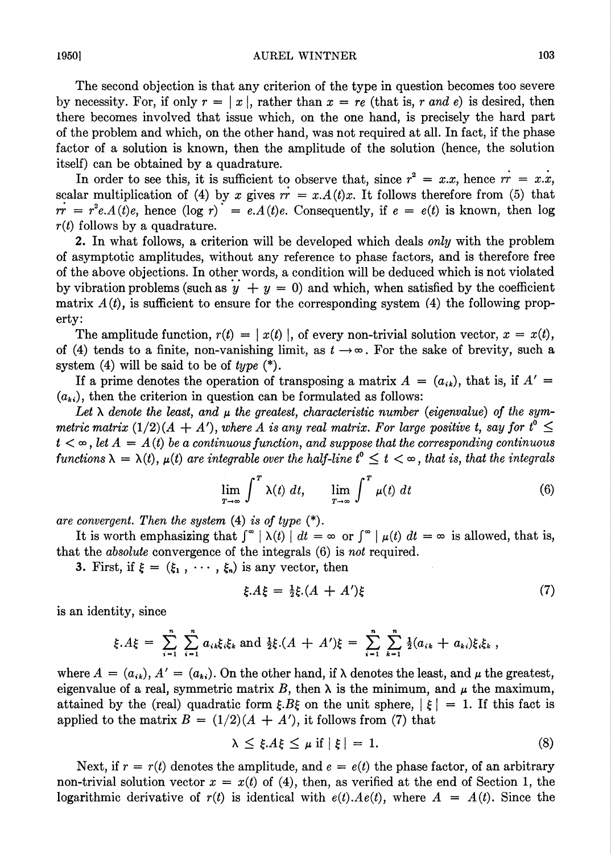The second objection is that any criterion of the type in question becomes too severe by necessity. For, if only  $r = |x|$ , rather than  $x = re$  (that is, r and e) is desired, then there becomes involved that issue which, on the one hand, is precisely the hard part of the problem and which, on the other hand, was not required at all. In fact, if the phase factor of a solution is known, then the amplitude of the solution (hence, the solution itself) can be obtained by a quadrature.

In order to see this, it is sufficient to observe that, since  $r^2 = x \cdot x$ , hence  $rr = x \cdot \dot{x}$ , scalar multiplication of (4) by x gives  $rr = x.A(t)x$ . It follows therefore from (5) that  $rr = r^2e.A(t)e$ , hence  $(\log r) = e.A(t)e$ . Consequently, if  $e = e(t)$  is known, then log  $r(t)$  follows by a quadrature.

2. In what follows, a criterion will be developed which deals only with the problem of asymptotic amplitudes, without any reference to phase factors, and is therefore free of the above objections. In other words, a condition will be deduced which is not violated by vibration problems (such as  $y + y = 0$ ) and which, when satisfied by the coefficient matrix  $A(t)$ , is sufficient to ensure for the corresponding system (4) the following property:

The amplitude function,  $r(t) = |x(t)|$ , of every non-trivial solution vector,  $x = x(t)$ , of (4) tends to a finite, non-vanishing limit, as  $t \to \infty$ . For the sake of brevity, such a system  $(4)$  will be said to be of type  $(*)$ .

If a prime denotes the operation of transposing a matrix  $A = (a_{ik})$ , that is, if  $A' =$  $(a_{ki})$ , then the criterion in question can be formulated as follows:

Let  $\lambda$  denote the least, and  $\mu$  the greatest, characteristic number (eigenvalue) of the symmetric matrix  $(1/2)(A + A')$ , where A is any real matrix. For large positive t, say for  $t^{\circ} \le$  $t < \infty$ , let  $A = A(t)$  be a continuous function, and suppose that the corresponding continuous functions  $\lambda = \lambda(t)$ ,  $\mu(t)$  are integrable over the half-line  $t^{\circ} \leq t < \infty$ , that is, that the integrals

$$
\lim_{T \to \infty} \int^T \lambda(t) \ dt, \qquad \lim_{T \to \infty} \int^T \mu(t) \ dt \tag{6}
$$

are convergent. Then the system  $(4)$  is of type  $(*)$ .

It is worth emphasizing that  $\int_{-\infty}^{\infty} |\lambda(t)| dt = \infty$  or  $\int_{-\infty}^{\infty} |\mu(t)| dt = \infty$  is allowed, that is, that the absolute convergence of the integrals (6) is not required.

3. First, if  $\xi = (\xi_1, \cdots, \xi_n)$  is any vector, then

$$
\xi.A\xi = \frac{1}{2}\xi.(A + A')\xi
$$
 (7)

is an identity, since

$$
\xi.A\xi = \sum_{i=1}^n \sum_{i=1}^n a_{ik}\xi_i\xi_k \text{ and } \frac{1}{2}\xi.(A + A')\xi = \sum_{i=1}^n \sum_{k=1}^n \frac{1}{2}(a_{ik} + a_{ki})\xi_i\xi_k,
$$

where  $A = (a_{ik}), A' = (a_{ki}).$  On the other hand, if  $\lambda$  denotes the least, and  $\mu$  the greatest, eigenvalue of a real, symmetric matrix B, then  $\lambda$  is the minimum, and  $\mu$  the maximum, attained by the (real) quadratic form  $\xi B \xi$  on the unit sphere,  $|\xi| = 1$ . If this fact is applied to the matrix  $B = (1/2)(A + A')$ , it follows from (7) that

$$
\lambda \leq \xi.A\xi \leq \mu \text{ if } |\xi| = 1. \tag{8}
$$

Next, if  $r = r(t)$  denotes the amplitude, and  $e = e(t)$  the phase factor, of an arbitrary non-trivial solution vector  $x = x(t)$  of (4), then, as verified at the end of Section 1, the logarithmic derivative of  $r(t)$  is identical with  $e(t) \cdot Ae(t)$ , where  $A = A(t)$ . Since the